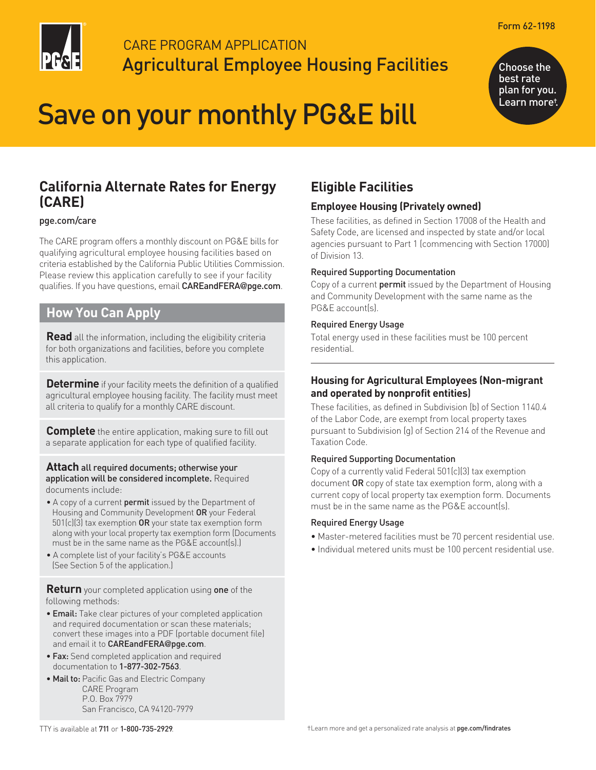

# CARE PROGRAM APPLICATION Agricultural Employee Housing Facilities

# Save on your monthly PG&E bill

Choose the best rate plan for you. Learn more†.

# **California Alternate Rates for Energy (CARE)**

#### [pge.com/care](https://www.pge.com/en_US/residential/save-energy-money/help-paying-your-bill/longer-term-assistance/care/care.page?WT.mc_id=Vanity_care)

The CARE program offers a monthly discount on PG&E bills for qualifying agricultural employee housing facilities based on criteria established by the California Public Utilities Commission. Please review this application carefully to see if your facility qualifies. If you have questions, email [CAREandFERA](mailto:CAREandFERA@pge.com)@pge.com.

## **How You Can Apply**

**Read** all the information, including the eligibility criteria for both organizations and facilities, before you complete this application.

**Determine** if your facility meets the definition of a qualified agricultural employee housing facility. The facility must meet all criteria to qualify for a monthly CARE discount.

**Complete** the entire application, making sure to fill out a separate application for each type of qualified facility.

#### **Attach** all required documents; otherwise your application will be considered incomplete. Required documents include:

- A copy of a current **permit** issued by the Department of Housing and Community Development OR your Federal  $501(c)(3)$  tax exemption OR your state tax exemption form along with your local property tax exemption form (Documents must be in the same name as the PG&E account(s).)
- A complete list of your facility's PG&E accounts (See Section 5 of the application.)

**Return** your completed application using one of the following methods:

- Email: Take clear pictures of your completed application and required documentation or scan these materials; convert these images into a PDF (portable document file) and email it to [CAREandFERA](mailto:CAREandFERA@pge.com)@pge.com.
- Fax: Send completed application and required documentation to 1-877-302-7563.
- Mail to: Pacific Gas and Electric Company CARE Program P.O. Box 7979 San Francisco, CA 94120-7979

# **Eligible Facilities**

### **Employee Housing (Privately owned)**

These facilities, as defined in Section 17008 of the Health and Safety Code, are licensed and inspected by state and/or local agencies pursuant to Part 1 (commencing with Section 17000) of Division 13.

#### Required Supporting Documentation

Copy of a current **permit** issued by the Department of Housing and Community Development with the same name as the PG&E account(s).

#### Required Energy Usage

Total energy used in these facilities must be 100 percent residential.

#### **Housing for Agricultural Employees (Non-migrant and operated by nonprofit entities**)

These facilities, as defined in Subdivision (b) of Section 1140.4 of the Labor Code, are exempt from local property taxes pursuant to Subdivision (g) of Section 214 of the Revenue and Taxation Code.

#### Required Supporting Documentation

Copy of a currently valid Federal 501(c)(3) tax exemption document OR copy of state tax exemption form, along with a current copy of local property tax exemption form. Documents must be in the same name as the PG&E account(s).

#### Required Energy Usage

- Master-metered facilities must be 70 percent residential use.
- Individual metered units must be 100 percent residential use.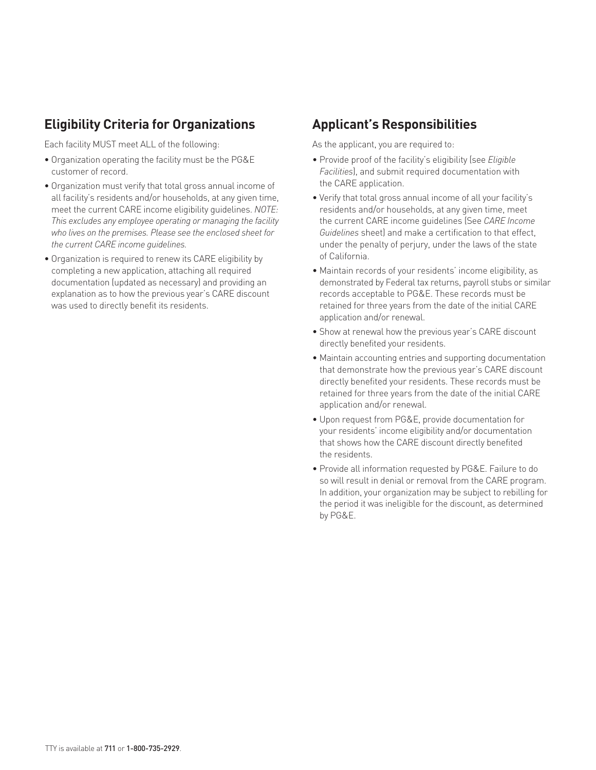# **Eligibility Criteria for Organizations**

Each facility MUST meet ALL of the following:

- Organization operating the facility must be the PG&E customer of record.
- Organization must verify that total gross annual income of all facility's residents and/or households, at any given time, meet the current CARE income eligibility guidelines. *NOTE: This excludes any employee operating or managing the facility who lives on the premises. Please see the enclosed sheet for the current CARE income guidelines.*
- Organization is required to renew its CARE eligibility by completing a new application, attaching all required documentation (updated as necessary) and providing an explanation as to how the previous year's CARE discount was used to directly benefit its residents.

# **Applicant's Responsibilities**

As the applicant, you are required to:

- Provide proof of the facility's eligibility (see *Eligible Facilities*), and submit required documentation with the CARE application.
- Verify that total gross annual income of all your facility's residents and/or households, at any given time, meet the current CARE income guidelines (See *CARE Income Guidelines* sheet) and make a certification to that effect, under the penalty of perjury, under the laws of the state of California.
- Maintain records of your residents' income eligibility, as demonstrated by Federal tax returns, payroll stubs or similar records acceptable to PG&E. These records must be retained for three years from the date of the initial CARE application and/or renewal.
- Show at renewal how the previous year's CARE discount directly benefited your residents.
- Maintain accounting entries and supporting documentation that demonstrate how the previous year's CARE discount directly benefited your residents. These records must be retained for three years from the date of the initial CARE application and/or renewal.
- Upon request from PG&E, provide documentation for your residents' income eligibility and/or documentation that shows how the CARE discount directly benefited the residents.
- Provide all information requested by PG&E. Failure to do so will result in denial or removal from the CARE program. In addition, your organization may be subject to rebilling for the period it was ineligible for the discount, as determined by PG&E.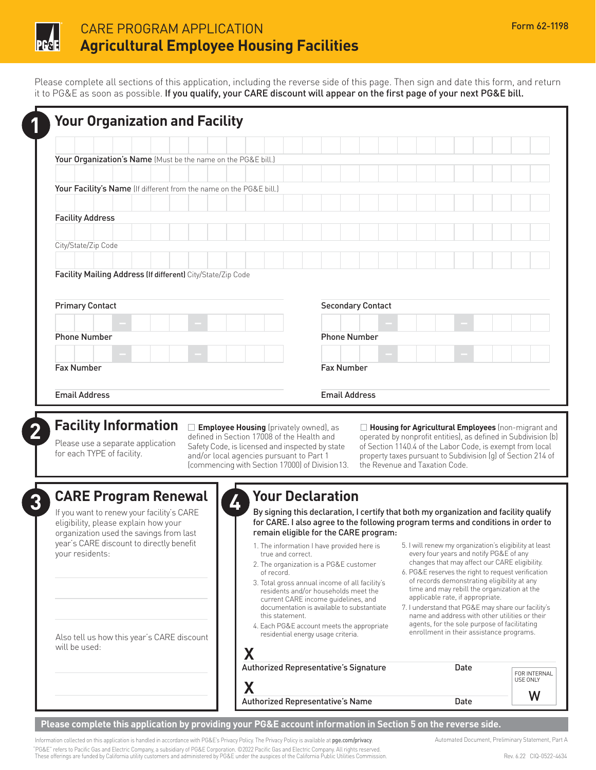

# CARE PROGRAM APPLICATION Form 62-1198 **Agricultural Employee Housing Facilities**

Please complete all sections of this application, including the reverse side of this page. Then sign and date this form, and return it to PG&E as soon as possible. If you qualify, your CARE discount will appear on the first page of your next PG&E bill.

| Your Organization's Name (Must be the name on the PG&E bill.)                                                |  |                     |                          |  |  |  |  |
|--------------------------------------------------------------------------------------------------------------|--|---------------------|--------------------------|--|--|--|--|
|                                                                                                              |  |                     |                          |  |  |  |  |
|                                                                                                              |  |                     |                          |  |  |  |  |
| Your Facility's Name (If different from the name on the PG&E bill.)                                          |  |                     |                          |  |  |  |  |
|                                                                                                              |  |                     |                          |  |  |  |  |
| <b>Facility Address</b>                                                                                      |  |                     |                          |  |  |  |  |
|                                                                                                              |  |                     |                          |  |  |  |  |
| City/State/Zip Code                                                                                          |  |                     |                          |  |  |  |  |
|                                                                                                              |  |                     |                          |  |  |  |  |
|                                                                                                              |  |                     |                          |  |  |  |  |
|                                                                                                              |  |                     | <b>Secondary Contact</b> |  |  |  |  |
|                                                                                                              |  |                     |                          |  |  |  |  |
|                                                                                                              |  | <b>Phone Number</b> |                          |  |  |  |  |
| Facility Mailing Address (If different) City/State/Zip Code<br><b>Primary Contact</b><br><b>Phone Number</b> |  |                     |                          |  |  |  |  |
| <b>Fax Number</b>                                                                                            |  | <b>Fax Number</b>   |                          |  |  |  |  |

(commencing with Section 17000) of Division13. the Revenue and Taxation Code.

**Eacility Information** and **Employee Housing** (privately owned), as a **Exploration of the Health and Conserved by nonprofit entities)**, as defined in Subdivision (b) defined in Section 17008 of the Health and operated by nonprofit entities), as defined in Subdivision (b)<br>Please use a separate application Safety Code, is licensed and inspected by state of Section 1140.4 of the Labor Cod and/or local agencies pursuant to Part 1 property taxes pursuant to Subdivision (g) of Section 214 of

# **3 CARE Program Renewal**

If you want to renew your facility's CARE eligibility, please explain how your organization used the savings from last year's CARE discount to directly benefit your residents:

Also tell us how this year's CARE discount will be used:



# **4 Your Declaration**

By signing this declaration, I certify that both my organization and facility qualify for CARE. I also agree to the following program terms and conditions in order to remain eligible for the CARE program:

- 
- 2. The organization is a PG&E customer
- residents and/or households meet the current CARE income guidelines, and applicable rate, if appropriate.<br>
documentation is available to substantiate 7. I understand that PG&E may sh
- residential energy usage criteria.
- 1. The information I have provided here is 5. I will renew my organization's eligibility at least true and correct. The correct of the correct of any every four years and notify PG&E of any changes that may affect our CARE eligibility.
- of record. The record. The reserves the right to request verification of records demonstrating eligibility at any 3. Total gross annual income of all facility's of records demonstrating eligibility at any<br>time and may rebill the organization at the organization at the organization at the stress the street the stre
- 7. I understand that PG&E may share our facility's this statement. This statement. agents, for the sole purpose of facilitating 4. Each PG&E account meets the appropriate enrollment in the sole purpose of facilitating<br>enrollment in their assistance programs.

| Authorized Representative's Signature | Date | FOR INTERNAL<br>USE ONLY |
|---------------------------------------|------|--------------------------|
|                                       |      |                          |
| Authorized Representative's Name      | Date |                          |

#### **Please complete this application by providing your PG&E account information in Section 5 on the reverse side.**

**X** 

Information collected on this application is handled in accordance with PG&E's Privacy Policy. The Privacy Policy is available at pre.com/privacy. Automated Document, Preliminary Statement, Part A "PG&E" refers to Pacific Gas and Electric Company, a subsidiary of PG&E Corporation. ©2022 Pacific Gas and Electric Company. All rights reserved. These offerings are funded by California utility customers and administered by PG&E under the auspices of the California Public Utilities Commission. Rev. 6.22 CIQ-0522-4634